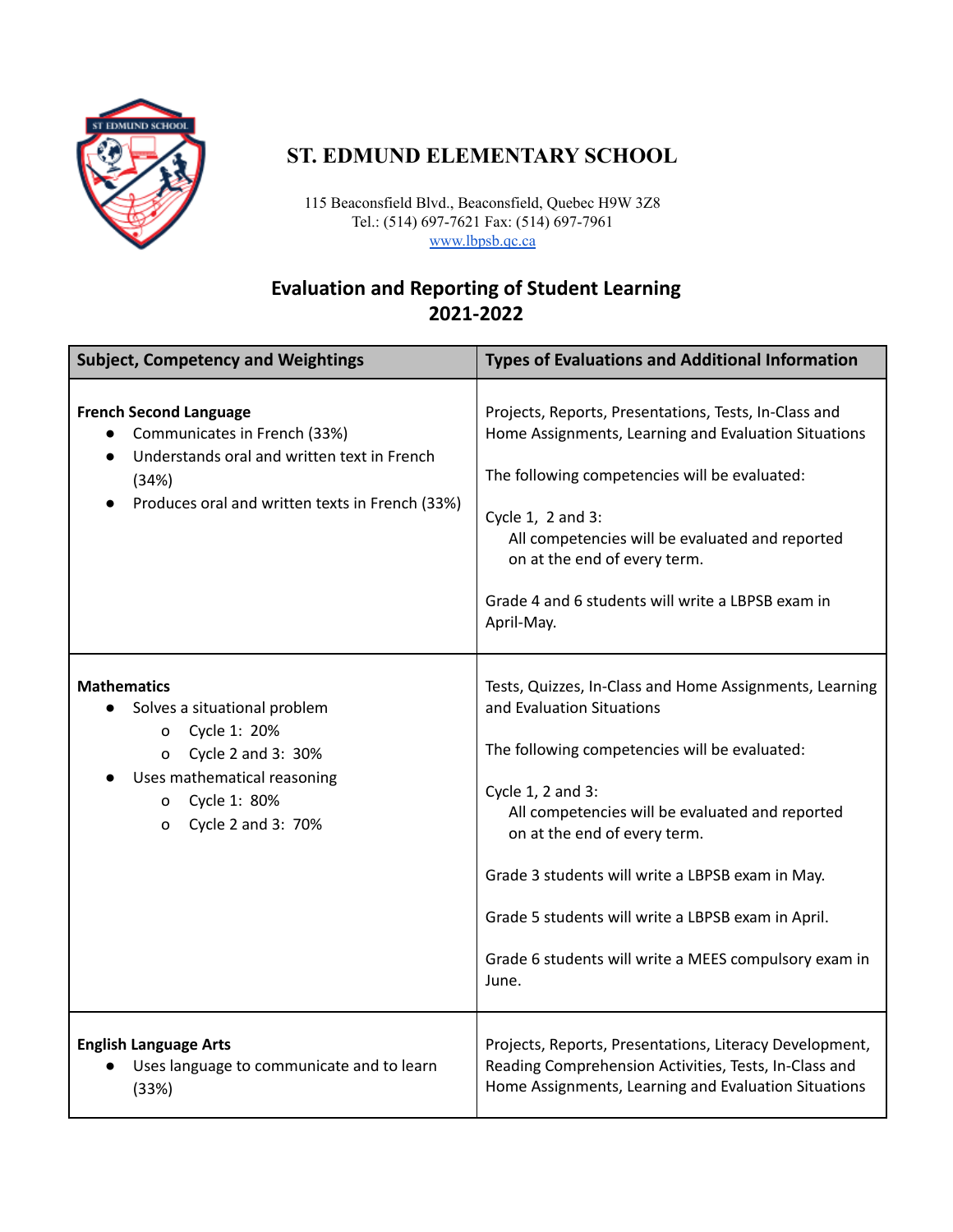

# **ST. EDMUND ELEMENTARY SCHOOL**

115 Beaconsfield Blvd., Beaconsfield, Quebec H9W 3Z8 Tel.: (514) 697-7621 Fax: (514) 697-7961 [www.lbpsb.qc.ca](http://www.lbpsb.qc.ca/)

## **Evaluation and Reporting of Student Learning 2021-2022**

| <b>Subject, Competency and Weightings</b>                                                                                                                                                           | <b>Types of Evaluations and Additional Information</b>                                                                                                                                                                                                                                                                                                                                                                    |
|-----------------------------------------------------------------------------------------------------------------------------------------------------------------------------------------------------|---------------------------------------------------------------------------------------------------------------------------------------------------------------------------------------------------------------------------------------------------------------------------------------------------------------------------------------------------------------------------------------------------------------------------|
| <b>French Second Language</b><br>Communicates in French (33%)<br>Understands oral and written text in French<br>$\bullet$<br>(34%)<br>Produces oral and written texts in French (33%)               | Projects, Reports, Presentations, Tests, In-Class and<br>Home Assignments, Learning and Evaluation Situations<br>The following competencies will be evaluated:<br>Cycle 1, 2 and 3:<br>All competencies will be evaluated and reported<br>on at the end of every term.<br>Grade 4 and 6 students will write a LBPSB exam in<br>April-May.                                                                                 |
| <b>Mathematics</b><br>Solves a situational problem<br>Cycle 1: 20%<br>0<br>Cycle 2 and 3: 30%<br>$\mathbf{o}$<br>Uses mathematical reasoning<br>Cycle 1: 80%<br>$\Omega$<br>Cycle 2 and 3: 70%<br>0 | Tests, Quizzes, In-Class and Home Assignments, Learning<br>and Evaluation Situations<br>The following competencies will be evaluated:<br>Cycle 1, 2 and 3:<br>All competencies will be evaluated and reported<br>on at the end of every term.<br>Grade 3 students will write a LBPSB exam in May.<br>Grade 5 students will write a LBPSB exam in April.<br>Grade 6 students will write a MEES compulsory exam in<br>June. |
| <b>English Language Arts</b><br>Uses language to communicate and to learn<br>(33%)                                                                                                                  | Projects, Reports, Presentations, Literacy Development,<br>Reading Comprehension Activities, Tests, In-Class and<br>Home Assignments, Learning and Evaluation Situations                                                                                                                                                                                                                                                  |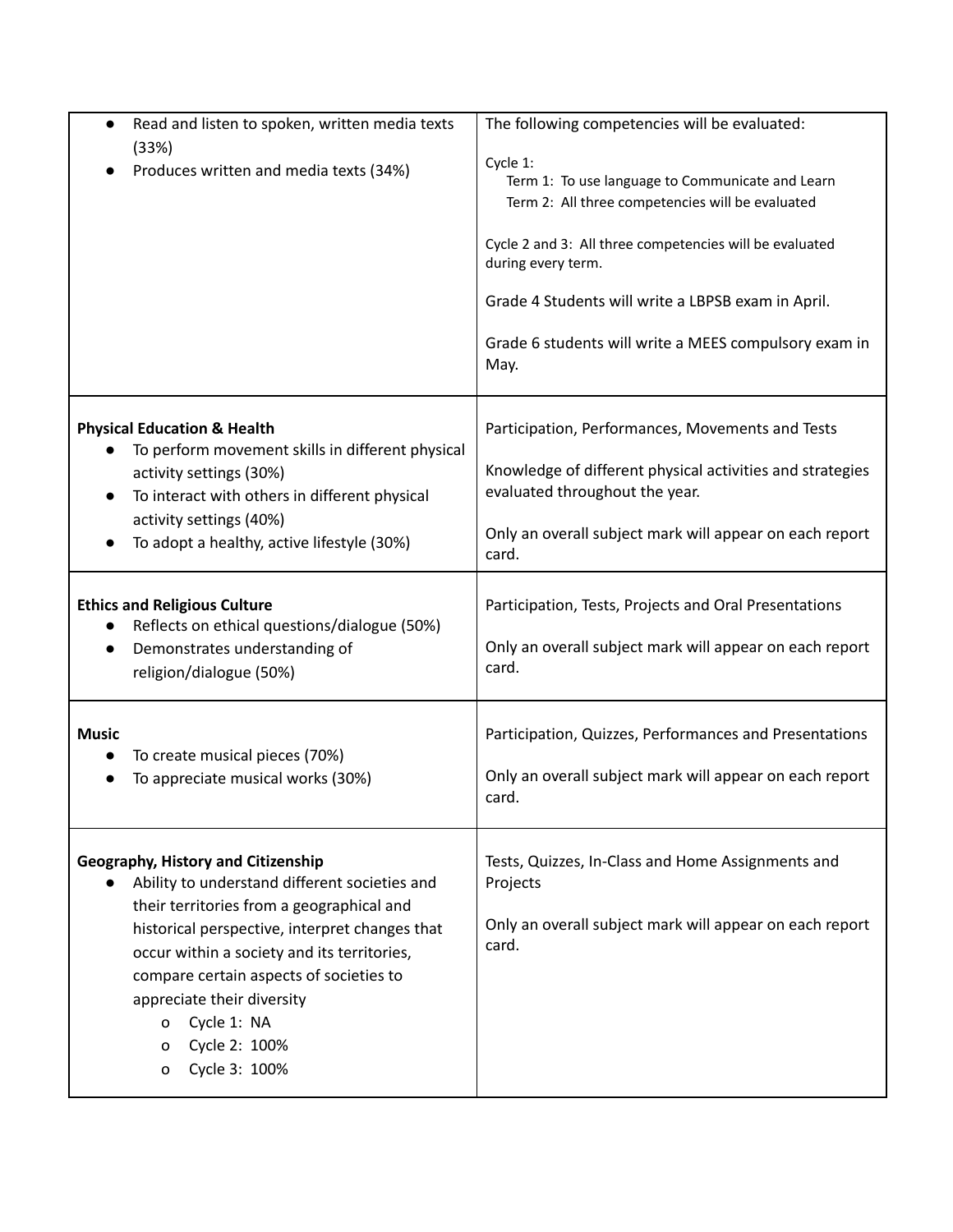| Read and listen to spoken, written media texts<br>$\bullet$<br>(33%)                                                                                           | The following competencies will be evaluated:                                                                    |
|----------------------------------------------------------------------------------------------------------------------------------------------------------------|------------------------------------------------------------------------------------------------------------------|
| Produces written and media texts (34%)                                                                                                                         | Cycle 1:<br>Term 1: To use language to Communicate and Learn<br>Term 2: All three competencies will be evaluated |
|                                                                                                                                                                | Cycle 2 and 3: All three competencies will be evaluated<br>during every term.                                    |
|                                                                                                                                                                | Grade 4 Students will write a LBPSB exam in April.                                                               |
|                                                                                                                                                                | Grade 6 students will write a MEES compulsory exam in<br>May.                                                    |
| <b>Physical Education &amp; Health</b><br>To perform movement skills in different physical                                                                     | Participation, Performances, Movements and Tests                                                                 |
| activity settings (30%)<br>To interact with others in different physical<br>$\bullet$<br>activity settings (40%)<br>To adopt a healthy, active lifestyle (30%) | Knowledge of different physical activities and strategies<br>evaluated throughout the year.                      |
|                                                                                                                                                                | Only an overall subject mark will appear on each report<br>card.                                                 |
| <b>Ethics and Religious Culture</b><br>Reflects on ethical questions/dialogue (50%)                                                                            | Participation, Tests, Projects and Oral Presentations                                                            |
| Demonstrates understanding of<br>$\bullet$<br>religion/dialogue (50%)                                                                                          | Only an overall subject mark will appear on each report<br>card.                                                 |
| <b>Music</b><br>To create musical pieces (70%)                                                                                                                 | Participation, Quizzes, Performances and Presentations                                                           |
| To appreciate musical works (30%)                                                                                                                              | Only an overall subject mark will appear on each report<br>card.                                                 |
| Geography, History and Citizenship<br>Ability to understand different societies and                                                                            | Tests, Quizzes, In-Class and Home Assignments and<br>Projects                                                    |
| their territories from a geographical and<br>historical perspective, interpret changes that<br>occur within a society and its territories,                     | Only an overall subject mark will appear on each report<br>card.                                                 |
| compare certain aspects of societies to<br>appreciate their diversity                                                                                          |                                                                                                                  |
| Cycle 1: NA<br>0<br>Cycle 2: 100%                                                                                                                              |                                                                                                                  |
| 0<br>Cycle 3: 100%<br>0                                                                                                                                        |                                                                                                                  |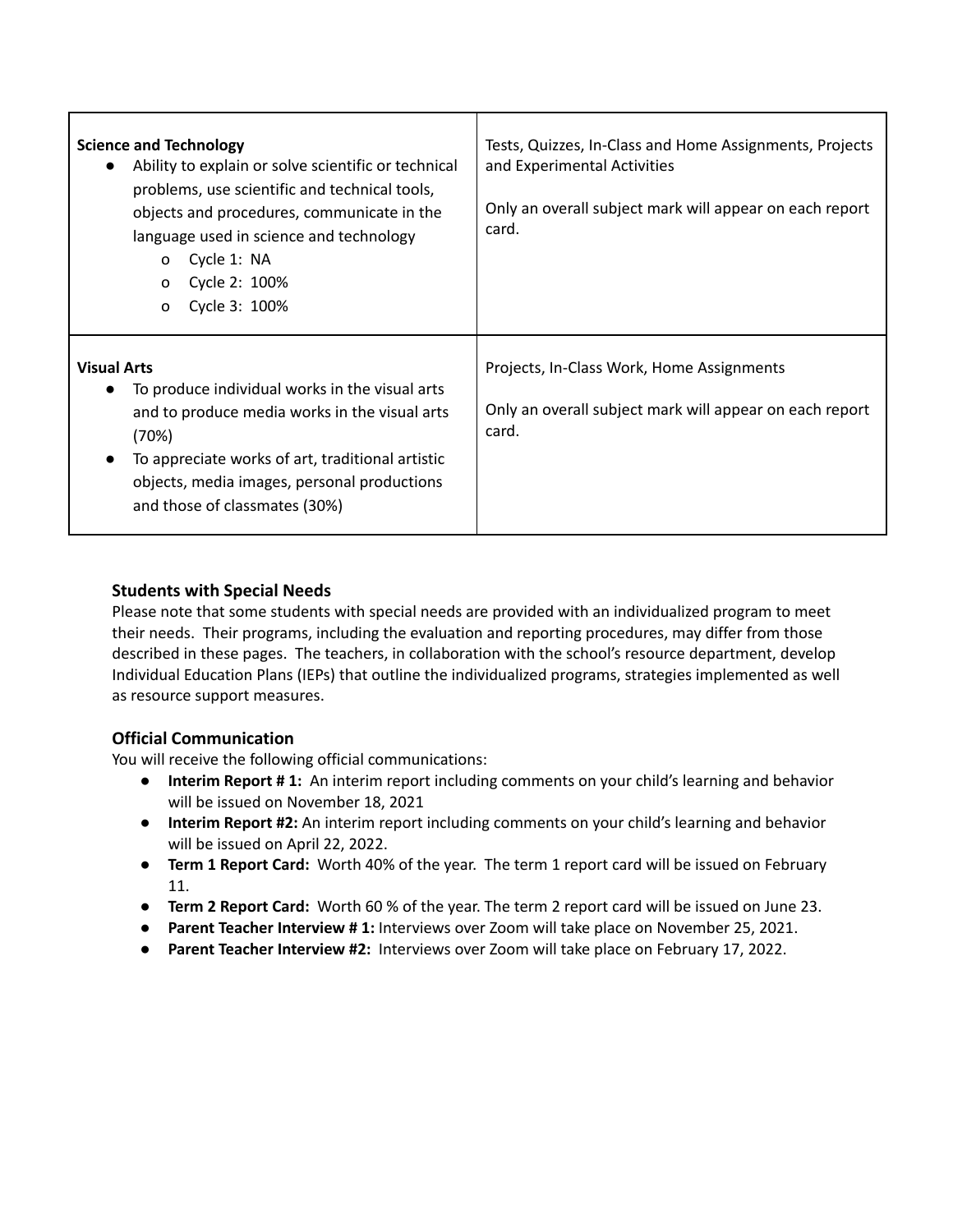| <b>Science and Technology</b><br>Ability to explain or solve scientific or technical<br>problems, use scientific and technical tools,<br>objects and procedures, communicate in the<br>language used in science and technology<br>Cycle 1: NA<br>$\mathbf{o}$<br>Cycle 2: 100%<br>$\Omega$<br>Cycle 3: 100%<br>O | Tests, Quizzes, In-Class and Home Assignments, Projects<br>and Experimental Activities<br>Only an overall subject mark will appear on each report<br>card. |
|------------------------------------------------------------------------------------------------------------------------------------------------------------------------------------------------------------------------------------------------------------------------------------------------------------------|------------------------------------------------------------------------------------------------------------------------------------------------------------|
| <b>Visual Arts</b><br>To produce individual works in the visual arts<br>and to produce media works in the visual arts<br>(70%)<br>To appreciate works of art, traditional artistic<br>objects, media images, personal productions<br>and those of classmates (30%)                                               | Projects, In-Class Work, Home Assignments<br>Only an overall subject mark will appear on each report<br>card.                                              |

#### **Students with Special Needs**

Л

Please note that some students with special needs are provided with an individualized program to meet their needs. Their programs, including the evaluation and reporting procedures, may differ from those described in these pages. The teachers, in collaboration with the school's resource department, develop Individual Education Plans (IEPs) that outline the individualized programs, strategies implemented as well as resource support measures.

#### **Official Communication**

You will receive the following official communications:

- **Interim Report # 1:** An interim report including comments on your child's learning and behavior will be issued on November 18, 2021
- **Interim Report #2:** An interim report including comments on your child's learning and behavior will be issued on April 22, 2022.
- **Term 1 Report Card:** Worth 40% of the year. The term 1 report card will be issued on February 11.
- **Term 2 Report Card:** Worth 60 % of the year. The term 2 report card will be issued on June 23.
- **Parent Teacher Interview # 1:** Interviews over Zoom will take place on November 25, 2021.
- **Parent Teacher Interview #2:** Interviews over Zoom will take place on February 17, 2022.